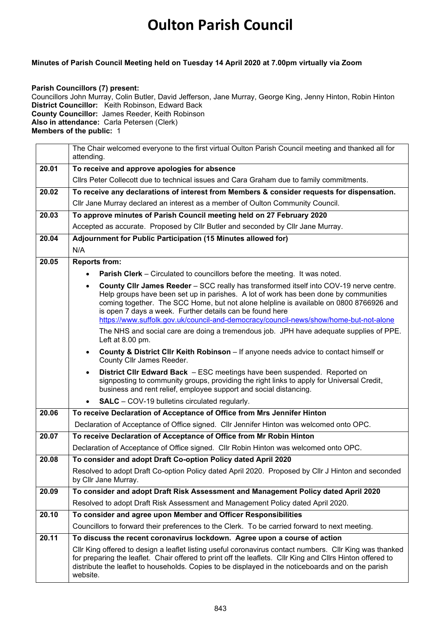## **Oulton Parish Council**

## **Minutes of Parish Council Meeting held on Tuesday 14 April 2020 at 7.00pm virtually via Zoom**

## **Parish Councillors (7) present:**

Councillors John Murray, Colin Butler, David Jefferson, Jane Murray, George King, Jenny Hinton, Robin Hinton **District Councillor:** Keith Robinson, Edward Back **County Councillor:** James Reeder, Keith Robinson **Also in attendance:** Carla Petersen (Clerk) **Members of the public:** 1

|       | The Chair welcomed everyone to the first virtual Oulton Parish Council meeting and thanked all for<br>attending.                                                                                                                                                                                                                                                                                                              |  |  |  |  |
|-------|-------------------------------------------------------------------------------------------------------------------------------------------------------------------------------------------------------------------------------------------------------------------------------------------------------------------------------------------------------------------------------------------------------------------------------|--|--|--|--|
| 20.01 | To receive and approve apologies for absence                                                                                                                                                                                                                                                                                                                                                                                  |  |  |  |  |
|       | Cllrs Peter Collecott due to technical issues and Cara Graham due to family commitments.                                                                                                                                                                                                                                                                                                                                      |  |  |  |  |
| 20.02 | To receive any declarations of interest from Members & consider requests for dispensation.                                                                                                                                                                                                                                                                                                                                    |  |  |  |  |
|       | Cllr Jane Murray declared an interest as a member of Oulton Community Council.                                                                                                                                                                                                                                                                                                                                                |  |  |  |  |
| 20.03 | To approve minutes of Parish Council meeting held on 27 February 2020                                                                                                                                                                                                                                                                                                                                                         |  |  |  |  |
|       | Accepted as accurate. Proposed by Cllr Butler and seconded by Cllr Jane Murray.                                                                                                                                                                                                                                                                                                                                               |  |  |  |  |
| 20.04 | Adjournment for Public Participation (15 Minutes allowed for)                                                                                                                                                                                                                                                                                                                                                                 |  |  |  |  |
|       | N/A                                                                                                                                                                                                                                                                                                                                                                                                                           |  |  |  |  |
| 20.05 | <b>Reports from:</b>                                                                                                                                                                                                                                                                                                                                                                                                          |  |  |  |  |
|       | <b>Parish Clerk</b> – Circulated to councillors before the meeting. It was noted.                                                                                                                                                                                                                                                                                                                                             |  |  |  |  |
|       | County CIIr James Reeder - SCC really has transformed itself into COV-19 nerve centre.<br>Help groups have been set up in parishes. A lot of work has been done by communities<br>coming together. The SCC Home, but not alone helpline is available on 0800 8766926 and<br>is open 7 days a week. Further details can be found here<br>https://www.suffolk.gov.uk/council-and-democracy/council-news/show/home-but-not-alone |  |  |  |  |
|       | The NHS and social care are doing a tremendous job. JPH have adequate supplies of PPE.<br>Left at 8.00 pm.                                                                                                                                                                                                                                                                                                                    |  |  |  |  |
|       | County & District Cllr Keith Robinson - If anyone needs advice to contact himself or<br>$\bullet$<br>County Cllr James Reeder.                                                                                                                                                                                                                                                                                                |  |  |  |  |
|       | District CIIr Edward Back - ESC meetings have been suspended. Reported on<br>signposting to community groups, providing the right links to apply for Universal Credit,<br>business and rent relief, employee support and social distancing.                                                                                                                                                                                   |  |  |  |  |
|       | <b>SALC</b> – COV-19 bulletins circulated regularly.                                                                                                                                                                                                                                                                                                                                                                          |  |  |  |  |
| 20.06 | To receive Declaration of Acceptance of Office from Mrs Jennifer Hinton                                                                                                                                                                                                                                                                                                                                                       |  |  |  |  |
|       | Declaration of Acceptance of Office signed. Cllr Jennifer Hinton was welcomed onto OPC.                                                                                                                                                                                                                                                                                                                                       |  |  |  |  |
| 20.07 | To receive Declaration of Acceptance of Office from Mr Robin Hinton                                                                                                                                                                                                                                                                                                                                                           |  |  |  |  |
|       | Declaration of Acceptance of Office signed. Cllr Robin Hinton was welcomed onto OPC.                                                                                                                                                                                                                                                                                                                                          |  |  |  |  |
| 20.08 | To consider and adopt Draft Co-option Policy dated April 2020                                                                                                                                                                                                                                                                                                                                                                 |  |  |  |  |
|       | Resolved to adopt Draft Co-option Policy dated April 2020. Proposed by Cllr J Hinton and seconded<br>by Cllr Jane Murray.                                                                                                                                                                                                                                                                                                     |  |  |  |  |
| 20.09 | To consider and adopt Draft Risk Assessment and Management Policy dated April 2020                                                                                                                                                                                                                                                                                                                                            |  |  |  |  |
|       | Resolved to adopt Draft Risk Assessment and Management Policy dated April 2020.                                                                                                                                                                                                                                                                                                                                               |  |  |  |  |
| 20.10 | To consider and agree upon Member and Officer Responsibilities                                                                                                                                                                                                                                                                                                                                                                |  |  |  |  |
|       | Councillors to forward their preferences to the Clerk. To be carried forward to next meeting.                                                                                                                                                                                                                                                                                                                                 |  |  |  |  |
| 20.11 | To discuss the recent coronavirus lockdown. Agree upon a course of action                                                                                                                                                                                                                                                                                                                                                     |  |  |  |  |
|       | Cllr King offered to design a leaflet listing useful coronavirus contact numbers. Cllr King was thanked<br>for preparing the leaflet. Chair offered to print off the leaflets. Cllr King and Cllrs Hinton offered to<br>distribute the leaflet to households. Copies to be displayed in the noticeboards and on the parish<br>website.                                                                                        |  |  |  |  |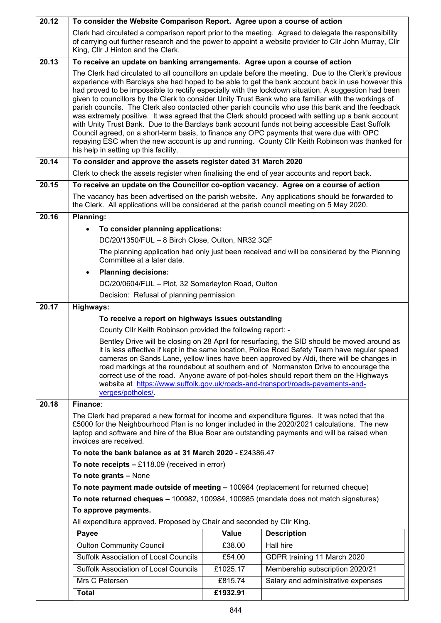| 20.12 | To consider the Website Comparison Report. Agree upon a course of action                                                                                                                                                                                                                                                                                                                                                                                                                                                                                                                                                                                                                                                                                                                                                                                                                                                                                                            |          |                                                                                                                                                                                                                |  |  |
|-------|-------------------------------------------------------------------------------------------------------------------------------------------------------------------------------------------------------------------------------------------------------------------------------------------------------------------------------------------------------------------------------------------------------------------------------------------------------------------------------------------------------------------------------------------------------------------------------------------------------------------------------------------------------------------------------------------------------------------------------------------------------------------------------------------------------------------------------------------------------------------------------------------------------------------------------------------------------------------------------------|----------|----------------------------------------------------------------------------------------------------------------------------------------------------------------------------------------------------------------|--|--|
|       | King, Cllr J Hinton and the Clerk.                                                                                                                                                                                                                                                                                                                                                                                                                                                                                                                                                                                                                                                                                                                                                                                                                                                                                                                                                  |          | Clerk had circulated a comparison report prior to the meeting. Agreed to delegate the responsibility<br>of carrying out further research and the power to appoint a website provider to Cllr John Murray, Cllr |  |  |
| 20.13 | To receive an update on banking arrangements. Agree upon a course of action                                                                                                                                                                                                                                                                                                                                                                                                                                                                                                                                                                                                                                                                                                                                                                                                                                                                                                         |          |                                                                                                                                                                                                                |  |  |
|       | The Clerk had circulated to all councillors an update before the meeting. Due to the Clerk's previous<br>experience with Barclays she had hoped to be able to get the bank account back in use however this<br>had proved to be impossible to rectify especially with the lockdown situation. A suggestion had been<br>given to councillors by the Clerk to consider Unity Trust Bank who are familiar with the workings of<br>parish councils. The Clerk also contacted other parish councils who use this bank and the feedback<br>was extremely positive. It was agreed that the Clerk should proceed with setting up a bank account<br>with Unity Trust Bank. Due to the Barclays bank account funds not being accessible East Suffolk<br>Council agreed, on a short-term basis, to finance any OPC payments that were due with OPC<br>repaying ESC when the new account is up and running. County Cllr Keith Robinson was thanked for<br>his help in setting up this facility. |          |                                                                                                                                                                                                                |  |  |
| 20.14 | To consider and approve the assets register dated 31 March 2020                                                                                                                                                                                                                                                                                                                                                                                                                                                                                                                                                                                                                                                                                                                                                                                                                                                                                                                     |          |                                                                                                                                                                                                                |  |  |
|       | Clerk to check the assets register when finalising the end of year accounts and report back.                                                                                                                                                                                                                                                                                                                                                                                                                                                                                                                                                                                                                                                                                                                                                                                                                                                                                        |          |                                                                                                                                                                                                                |  |  |
| 20.15 | To receive an update on the Councillor co-option vacancy. Agree on a course of action                                                                                                                                                                                                                                                                                                                                                                                                                                                                                                                                                                                                                                                                                                                                                                                                                                                                                               |          |                                                                                                                                                                                                                |  |  |
|       | The vacancy has been advertised on the parish website. Any applications should be forwarded to<br>the Clerk. All applications will be considered at the parish council meeting on 5 May 2020.                                                                                                                                                                                                                                                                                                                                                                                                                                                                                                                                                                                                                                                                                                                                                                                       |          |                                                                                                                                                                                                                |  |  |
| 20.16 | <b>Planning:</b>                                                                                                                                                                                                                                                                                                                                                                                                                                                                                                                                                                                                                                                                                                                                                                                                                                                                                                                                                                    |          |                                                                                                                                                                                                                |  |  |
|       | To consider planning applications:<br>$\bullet$                                                                                                                                                                                                                                                                                                                                                                                                                                                                                                                                                                                                                                                                                                                                                                                                                                                                                                                                     |          |                                                                                                                                                                                                                |  |  |
|       | DC/20/1350/FUL - 8 Birch Close, Oulton, NR32 3QF                                                                                                                                                                                                                                                                                                                                                                                                                                                                                                                                                                                                                                                                                                                                                                                                                                                                                                                                    |          |                                                                                                                                                                                                                |  |  |
|       | The planning application had only just been received and will be considered by the Planning<br>Committee at a later date.                                                                                                                                                                                                                                                                                                                                                                                                                                                                                                                                                                                                                                                                                                                                                                                                                                                           |          |                                                                                                                                                                                                                |  |  |
|       | <b>Planning decisions:</b><br>$\bullet$                                                                                                                                                                                                                                                                                                                                                                                                                                                                                                                                                                                                                                                                                                                                                                                                                                                                                                                                             |          |                                                                                                                                                                                                                |  |  |
|       | DC/20/0604/FUL - Plot, 32 Somerleyton Road, Oulton                                                                                                                                                                                                                                                                                                                                                                                                                                                                                                                                                                                                                                                                                                                                                                                                                                                                                                                                  |          |                                                                                                                                                                                                                |  |  |
|       | Decision: Refusal of planning permission                                                                                                                                                                                                                                                                                                                                                                                                                                                                                                                                                                                                                                                                                                                                                                                                                                                                                                                                            |          |                                                                                                                                                                                                                |  |  |
| 20.17 | Highways:                                                                                                                                                                                                                                                                                                                                                                                                                                                                                                                                                                                                                                                                                                                                                                                                                                                                                                                                                                           |          |                                                                                                                                                                                                                |  |  |
|       | To receive a report on highways issues outstanding                                                                                                                                                                                                                                                                                                                                                                                                                                                                                                                                                                                                                                                                                                                                                                                                                                                                                                                                  |          |                                                                                                                                                                                                                |  |  |
|       | County Cllr Keith Robinson provided the following report: -<br>Bentley Drive will be closing on 28 April for resurfacing, the SID should be moved around as                                                                                                                                                                                                                                                                                                                                                                                                                                                                                                                                                                                                                                                                                                                                                                                                                         |          |                                                                                                                                                                                                                |  |  |
|       | it is less effective if kept in the same location, Police Road Safety Team have regular speed<br>cameras on Sands Lane, yellow lines have been approved by Aldi, there will be changes in<br>road markings at the roundabout at southern end of Normanston Drive to encourage the<br>correct use of the road. Anyone aware of pot-holes should report them on the Highways<br>website at https://www.suffolk.gov.uk/roads-and-transport/roads-pavements-and-<br>verges/potholes/.                                                                                                                                                                                                                                                                                                                                                                                                                                                                                                   |          |                                                                                                                                                                                                                |  |  |
| 20.18 | Finance:                                                                                                                                                                                                                                                                                                                                                                                                                                                                                                                                                                                                                                                                                                                                                                                                                                                                                                                                                                            |          |                                                                                                                                                                                                                |  |  |
|       | The Clerk had prepared a new format for income and expenditure figures. It was noted that the<br>£5000 for the Neighbourhood Plan is no longer included in the 2020/2021 calculations. The new<br>laptop and software and hire of the Blue Boar are outstanding payments and will be raised when<br>invoices are received.                                                                                                                                                                                                                                                                                                                                                                                                                                                                                                                                                                                                                                                          |          |                                                                                                                                                                                                                |  |  |
|       | To note the bank balance as at 31 March 2020 - £24386.47                                                                                                                                                                                                                                                                                                                                                                                                                                                                                                                                                                                                                                                                                                                                                                                                                                                                                                                            |          |                                                                                                                                                                                                                |  |  |
|       | To note receipts $-$ £118.09 (received in error)                                                                                                                                                                                                                                                                                                                                                                                                                                                                                                                                                                                                                                                                                                                                                                                                                                                                                                                                    |          |                                                                                                                                                                                                                |  |  |
|       | To note grants - None                                                                                                                                                                                                                                                                                                                                                                                                                                                                                                                                                                                                                                                                                                                                                                                                                                                                                                                                                               |          |                                                                                                                                                                                                                |  |  |
|       | To note payment made outside of meeting - 100984 (replacement for returned cheque)                                                                                                                                                                                                                                                                                                                                                                                                                                                                                                                                                                                                                                                                                                                                                                                                                                                                                                  |          |                                                                                                                                                                                                                |  |  |
|       | To note returned cheques - 100982, 100984, 100985 (mandate does not match signatures)                                                                                                                                                                                                                                                                                                                                                                                                                                                                                                                                                                                                                                                                                                                                                                                                                                                                                               |          |                                                                                                                                                                                                                |  |  |
|       | To approve payments.                                                                                                                                                                                                                                                                                                                                                                                                                                                                                                                                                                                                                                                                                                                                                                                                                                                                                                                                                                |          |                                                                                                                                                                                                                |  |  |
|       | All expenditure approved. Proposed by Chair and seconded by Cllr King.<br><b>Value</b>                                                                                                                                                                                                                                                                                                                                                                                                                                                                                                                                                                                                                                                                                                                                                                                                                                                                                              |          |                                                                                                                                                                                                                |  |  |
|       | Payee<br><b>Oulton Community Council</b>                                                                                                                                                                                                                                                                                                                                                                                                                                                                                                                                                                                                                                                                                                                                                                                                                                                                                                                                            | £38.00   | <b>Description</b><br><b>Hall hire</b>                                                                                                                                                                         |  |  |
|       | <b>Suffolk Association of Local Councils</b>                                                                                                                                                                                                                                                                                                                                                                                                                                                                                                                                                                                                                                                                                                                                                                                                                                                                                                                                        | £54.00   | GDPR training 11 March 2020                                                                                                                                                                                    |  |  |
|       | <b>Suffolk Association of Local Councils</b>                                                                                                                                                                                                                                                                                                                                                                                                                                                                                                                                                                                                                                                                                                                                                                                                                                                                                                                                        | £1025.17 | Membership subscription 2020/21                                                                                                                                                                                |  |  |
|       | Mrs C Petersen                                                                                                                                                                                                                                                                                                                                                                                                                                                                                                                                                                                                                                                                                                                                                                                                                                                                                                                                                                      | £815.74  | Salary and administrative expenses                                                                                                                                                                             |  |  |
|       | <b>Total</b>                                                                                                                                                                                                                                                                                                                                                                                                                                                                                                                                                                                                                                                                                                                                                                                                                                                                                                                                                                        | £1932.91 |                                                                                                                                                                                                                |  |  |
|       |                                                                                                                                                                                                                                                                                                                                                                                                                                                                                                                                                                                                                                                                                                                                                                                                                                                                                                                                                                                     |          |                                                                                                                                                                                                                |  |  |